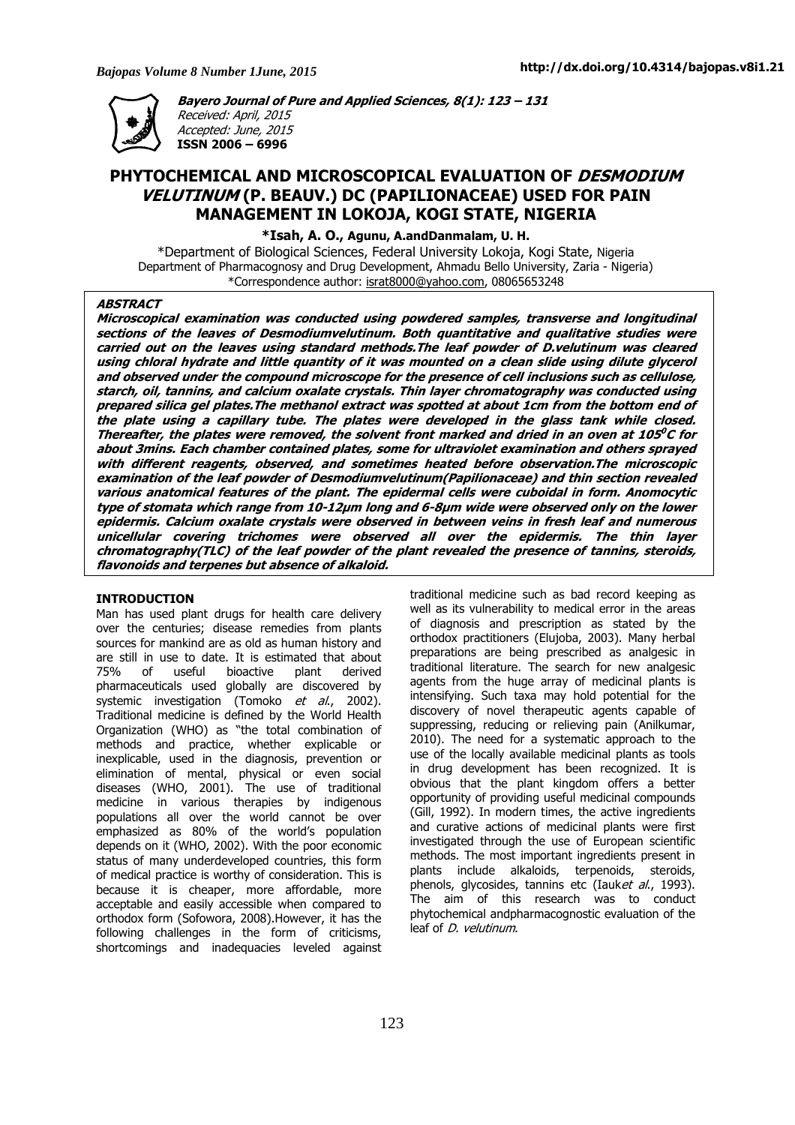

**Bayero Journal of Pure and Applied Sciences, 8(1): 123 – 131**  Received: April, 2015

Accepted: June, 2015 **ISSN 2006 – 6996** 

# **PHYTOCHEMICAL AND MICROSCOPICAL EVALUATION OF DESMODIUM VELUTINUM (P. BEAUV.) DC (PAPILIONACEAE) USED FOR PAIN MANAGEMENT IN LOKOJA, KOGI STATE, NIGERIA**

**\*Isah, A. O., Agunu, A.andDanmalam, U. H.**

\*Department of Biological Sciences, Federal University Lokoja, Kogi State, Nigeria Department of Pharmacognosy and Drug Development, Ahmadu Bello University, Zaria - Nigeria) \*Correspondence author: israt8000@yahoo.com, 08065653248

## **ABSTRACT**

**Microscopical examination was conducted using powdered samples, transverse and longitudinal sections of the leaves of Desmodiumvelutinum. Both quantitative and qualitative studies were carried out on the leaves using standard methods.The leaf powder of D.velutinum was cleared using chloral hydrate and little quantity of it was mounted on a clean slide using dilute glycerol and observed under the compound microscope for the presence of cell inclusions such as cellulose, starch, oil, tannins, and calcium oxalate crystals. Thin layer chromatography was conducted using prepared silica gel plates.The methanol extract was spotted at about 1cm from the bottom end of the plate using a capillary tube. The plates were developed in the glass tank while closed. Thereafter, the plates were removed, the solvent front marked and dried in an oven at 105 <sup>0</sup>C for about 3mins. Each chamber contained plates, some for ultraviolet examination and others sprayed with different reagents, observed, and sometimes heated before observation.The microscopic examination of the leaf powder of Desmodiumvelutinum(Papilionaceae) and thin section revealed various anatomical features of the plant. The epidermal cells were cuboidal in form. Anomocytic type of stomata which range from 10-12µm long and 6-8µm wide were observed only on the lower epidermis. Calcium oxalate crystals were observed in between veins in fresh leaf and numerous unicellular covering trichomes were observed all over the epidermis. The thin layer chromatography(TLC) of the leaf powder of the plant revealed the presence of tannins, steroids, flavonoids and terpenes but absence of alkaloid.** 

#### **INTRODUCTION**

Man has used plant drugs for health care delivery over the centuries; disease remedies from plants sources for mankind are as old as human history and are still in use to date. It is estimated that about 75% of useful bioactive plant derived pharmaceuticals used globally are discovered by systemic investigation (Tomoko et al., 2002). Traditional medicine is defined by the World Health Organization (WHO) as "the total combination of methods and practice, whether explicable or inexplicable, used in the diagnosis, prevention or elimination of mental, physical or even social diseases (WHO, 2001). The use of traditional medicine in various therapies by indigenous populations all over the world cannot be over emphasized as 80% of the world's population depends on it (WHO, 2002). With the poor economic status of many underdeveloped countries, this form of medical practice is worthy of consideration. This is because it is cheaper, more affordable, more acceptable and easily accessible when compared to orthodox form (Sofowora, 2008).However, it has the following challenges in the form of criticisms, shortcomings and inadequacies leveled against

traditional medicine such as bad record keeping as well as its vulnerability to medical error in the areas of diagnosis and prescription as stated by the orthodox practitioners (Elujoba, 2003). Many herbal preparations are being prescribed as analgesic in traditional literature. The search for new analgesic agents from the huge array of medicinal plants is intensifying. Such taxa may hold potential for the discovery of novel therapeutic agents capable of suppressing, reducing or relieving pain (Anilkumar, 2010). The need for a systematic approach to the use of the locally available medicinal plants as tools in drug development has been recognized. It is obvious that the plant kingdom offers a better opportunity of providing useful medicinal compounds (Gill, 1992). In modern times, the active ingredients and curative actions of medicinal plants were first investigated through the use of European scientific methods. The most important ingredients present in plants include alkaloids, terpenoids, steroids, .<br>phenols, glycosides, tannins etc (Iauk*et al.*, 1993). The aim of this research was to conduct phytochemical andpharmacognostic evaluation of the leaf of D. velutinum.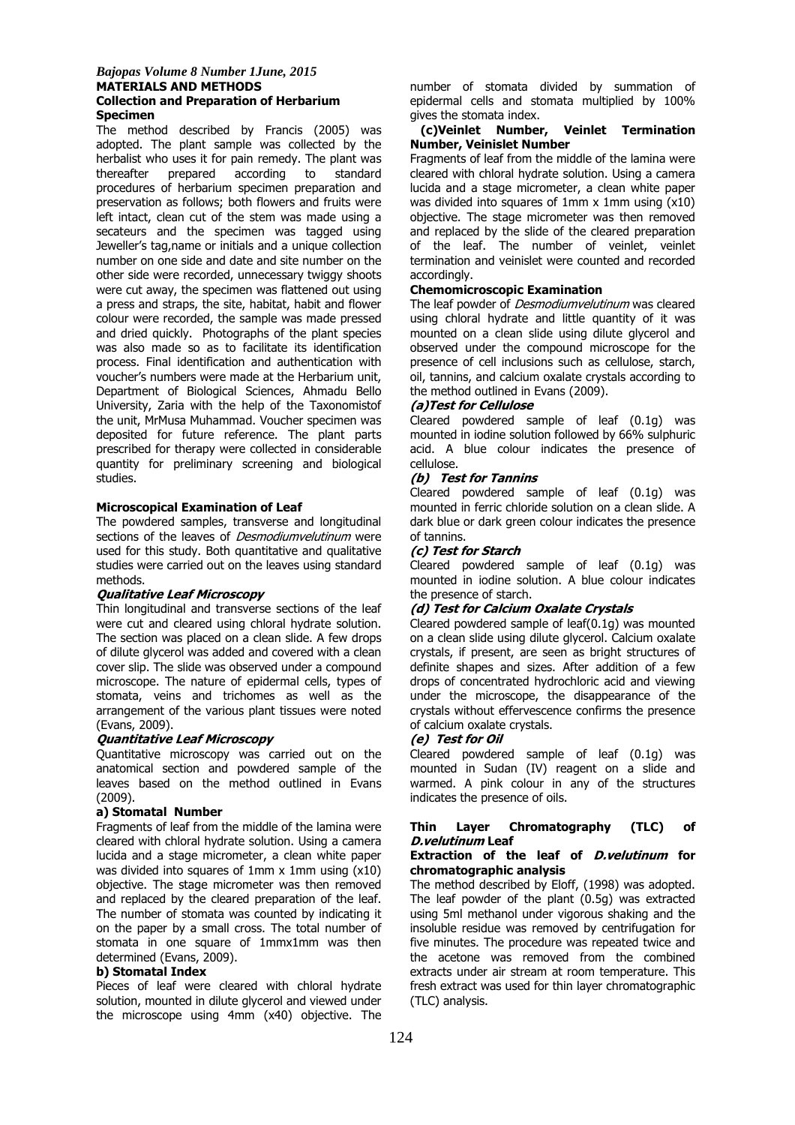#### *Bajopas Volume 8 Number 1June, 2015* **MATERIALS AND METHODS Collection and Preparation of Herbarium Specimen**

The method described by Francis (2005) was adopted. The plant sample was collected by the herbalist who uses it for pain remedy. The plant was thereafter prepared according to standard procedures of herbarium specimen preparation and preservation as follows; both flowers and fruits were left intact, clean cut of the stem was made using a secateurs and the specimen was tagged using Jeweller's tag,name or initials and a unique collection number on one side and date and site number on the other side were recorded, unnecessary twiggy shoots were cut away, the specimen was flattened out using a press and straps, the site, habitat, habit and flower colour were recorded, the sample was made pressed and dried quickly. Photographs of the plant species was also made so as to facilitate its identification process. Final identification and authentication with voucher's numbers were made at the Herbarium unit, Department of Biological Sciences, Ahmadu Bello University, Zaria with the help of the Taxonomistof the unit, MrMusa Muhammad. Voucher specimen was deposited for future reference. The plant parts prescribed for therapy were collected in considerable quantity for preliminary screening and biological studies.

# **Microscopical Examination of Leaf**

The powdered samples, transverse and longitudinal sections of the leaves of *Desmodiumvelutinum* were used for this study. Both quantitative and qualitative studies were carried out on the leaves using standard methods.

### **Qualitative Leaf Microscopy**

Thin longitudinal and transverse sections of the leaf were cut and cleared using chloral hydrate solution. The section was placed on a clean slide. A few drops of dilute glycerol was added and covered with a clean cover slip. The slide was observed under a compound microscope. The nature of epidermal cells, types of stomata, veins and trichomes as well as the arrangement of the various plant tissues were noted (Evans, 2009).

### **Quantitative Leaf Microscopy**

Quantitative microscopy was carried out on the anatomical section and powdered sample of the leaves based on the method outlined in Evans (2009).

### **a) Stomatal Number**

Fragments of leaf from the middle of the lamina were cleared with chloral hydrate solution. Using a camera lucida and a stage micrometer, a clean white paper was divided into squares of 1mm x 1mm using (x10) objective. The stage micrometer was then removed and replaced by the cleared preparation of the leaf. The number of stomata was counted by indicating it on the paper by a small cross. The total number of stomata in one square of 1mmx1mm was then determined (Evans, 2009).

# **b) Stomatal Index**

Pieces of leaf were cleared with chloral hydrate solution, mounted in dilute glycerol and viewed under the microscope using 4mm (x40) objective. The number of stomata divided by summation of epidermal cells and stomata multiplied by 100% gives the stomata index.

### **(c)Veinlet Number, Veinlet Termination Number, Veinislet Number**

Fragments of leaf from the middle of the lamina were cleared with chloral hydrate solution. Using a camera lucida and a stage micrometer, a clean white paper was divided into squares of 1mm x 1mm using (x10) objective. The stage micrometer was then removed and replaced by the slide of the cleared preparation of the leaf. The number of veinlet, veinlet termination and veinislet were counted and recorded accordingly.

## **Chemomicroscopic Examination**

The leaf powder of *Desmodiumvelutinum* was cleared using chloral hydrate and little quantity of it was mounted on a clean slide using dilute glycerol and observed under the compound microscope for the presence of cell inclusions such as cellulose, starch, oil, tannins, and calcium oxalate crystals according to the method outlined in Evans (2009).

# **(a)Test for Cellulose**

Cleared powdered sample of leaf (0.1g) was mounted in iodine solution followed by 66% sulphuric acid. A blue colour indicates the presence of cellulose.

# **(b) Test for Tannins**

Cleared powdered sample of leaf (0.1g) was mounted in ferric chloride solution on a clean slide. A dark blue or dark green colour indicates the presence of tannins.

### **(c) Test for Starch**

Cleared powdered sample of leaf (0.1g) was mounted in iodine solution. A blue colour indicates the presence of starch.

# **(d) Test for Calcium Oxalate Crystals**

Cleared powdered sample of leaf(0.1g) was mounted on a clean slide using dilute glycerol. Calcium oxalate crystals, if present, are seen as bright structures of definite shapes and sizes. After addition of a few drops of concentrated hydrochloric acid and viewing under the microscope, the disappearance of the crystals without effervescence confirms the presence of calcium oxalate crystals.

# **(e) Test for Oil**

Cleared powdered sample of leaf (0.1g) was mounted in Sudan (IV) reagent on a slide and warmed. A pink colour in any of the structures indicates the presence of oils.

### **Thin Layer Chromatography (TLC) of D.velutinum Leaf**

#### **Extraction of the leaf of D.velutinum for chromatographic analysis**

The method described by Eloff, (1998) was adopted. The leaf powder of the plant (0.5g) was extracted using 5ml methanol under vigorous shaking and the insoluble residue was removed by centrifugation for five minutes. The procedure was repeated twice and the acetone was removed from the combined extracts under air stream at room temperature. This fresh extract was used for thin layer chromatographic (TLC) analysis.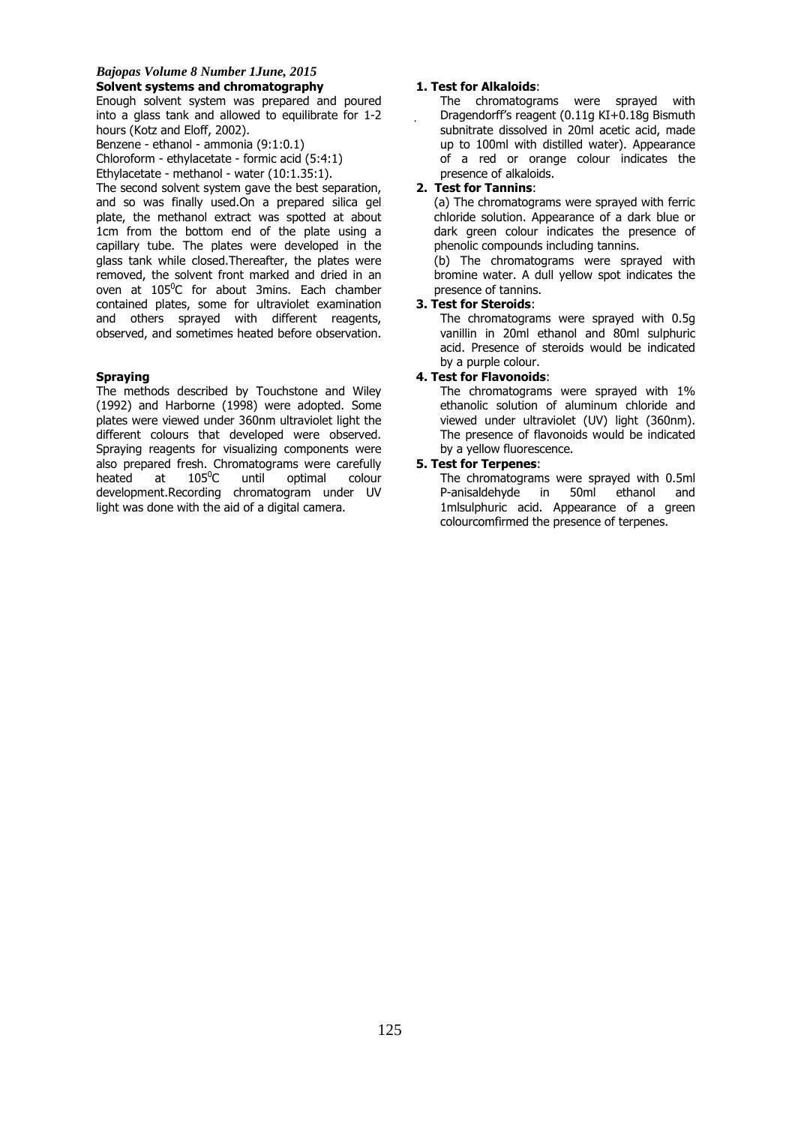# **Solvent systems and chromatography**

Enough solvent system was prepared and poured into a glass tank and allowed to equilibrate for 1-2 hours (Kotz and Eloff, 2002).

Benzene - ethanol - ammonia (9:1:0.1)

Chloroform - ethylacetate - formic acid (5:4:1)

Ethylacetate - methanol - water (10:1.35:1).

The second solvent system gave the best separation, and so was finally used.On a prepared silica gel plate, the methanol extract was spotted at about 1cm from the bottom end of the plate using a capillary tube. The plates were developed in the glass tank while closed.Thereafter, the plates were removed, the solvent front marked and dried in an oven at  $105^0C$  for about 3mins. Each chamber contained plates, some for ultraviolet examination and others sprayed with different reagents, observed, and sometimes heated before observation.

# **Spraying**

The methods described by Touchstone and Wiley (1992) and Harborne (1998) were adopted. Some plates were viewed under 360nm ultraviolet light the different colours that developed were observed. Spraying reagents for visualizing components were also prepared fresh. Chromatograms were carefully heated at 105<sup>0</sup>C until optimal colour development.Recording chromatogram under UV light was done with the aid of a digital camera.

# **1. Test for Alkaloids**:

The chromatograms were sprayed with Dragendorff's reagent (0.11g KI+0.18g Bismuth subnitrate dissolved in 20ml acetic acid, made up to 100ml with distilled water). Appearance of a red or orange colour indicates the presence of alkaloids.

# **2. Test for Tannins**:

(a) The chromatograms were sprayed with ferric chloride solution. Appearance of a dark blue or dark green colour indicates the presence of phenolic compounds including tannins.

(b) The chromatograms were sprayed with bromine water. A dull yellow spot indicates the presence of tannins.

# **3. Test for Steroids**:

The chromatograms were sprayed with 0.5g vanillin in 20ml ethanol and 80ml sulphuric acid. Presence of steroids would be indicated by a purple colour.

# **4. Test for Flavonoids**:

The chromatograms were sprayed with 1% ethanolic solution of aluminum chloride and viewed under ultraviolet (UV) light (360nm). The presence of flavonoids would be indicated by a yellow fluorescence.

# **5. Test for Terpenes**:

The chromatograms were sprayed with 0.5ml P-anisaldehyde in 50ml ethanol and 1mlsulphuric acid. Appearance of a green colourcomfirmed the presence of terpenes.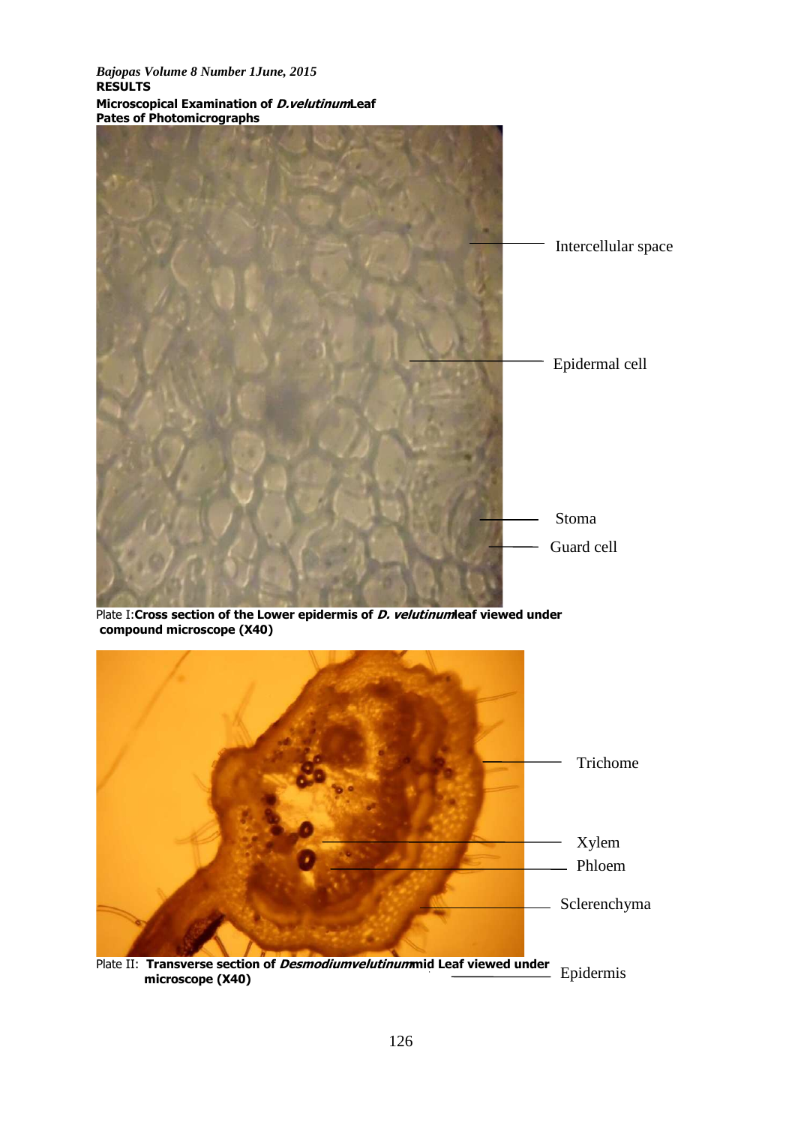*Bajopas Volume 8 Number 1June, 2015* **RESULTS Microscopical Examination of D.velutinumLeaf Pates of Photomicrographs** 



Plate I:**Cross section of the Lower epidermis of D. velutinumleaf viewed under compound microscope (X40)** 

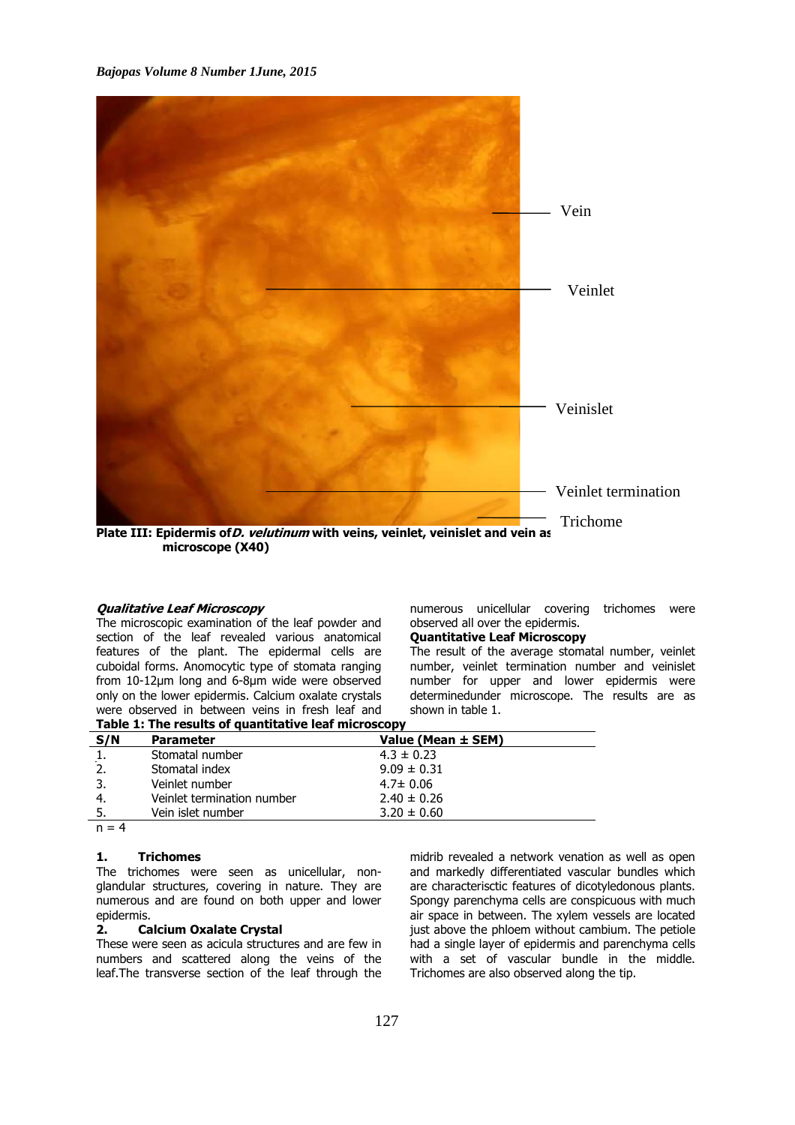

**microscope (X40)** 

### **Qualitative Leaf Microscopy**

The microscopic examination of the leaf powder and section of the leaf revealed various anatomical features of the plant. The epidermal cells are cuboidal forms. Anomocytic type of stomata ranging from 10-12µm long and 6-8µm wide were observed only on the lower epidermis. Calcium oxalate crystals were observed in between veins in fresh leaf and numerous unicellular covering trichomes were observed all over the epidermis.

# **Quantitative Leaf Microscopy**

The result of the average stomatal number, veinlet number, veinlet termination number and veinislet number for upper and lower epidermis were determinedunder microscope. The results are as shown in table 1.

| Table 1: The results of quantitative leaf microscopy |                            |                    |  |  |  |
|------------------------------------------------------|----------------------------|--------------------|--|--|--|
| S/N                                                  | <b>Parameter</b>           | Value (Mean ± SEM) |  |  |  |
|                                                      | Stomatal number            | $4.3 \pm 0.23$     |  |  |  |
| 2.                                                   | Stomatal index             | $9.09 \pm 0.31$    |  |  |  |
| 3.                                                   | Veinlet number             | $4.7 \pm 0.06$     |  |  |  |
| 4.                                                   | Veinlet termination number | $2.40 \pm 0.26$    |  |  |  |
| -5.                                                  | Vein islet number          | $3.20 \pm 0.60$    |  |  |  |
|                                                      |                            |                    |  |  |  |

 $n = 4$ 

#### **1. Trichomes**

The trichomes were seen as unicellular, nonglandular structures, covering in nature. They are numerous and are found on both upper and lower epidermis.

#### **2. Calcium Oxalate Crystal**

These were seen as acicula structures and are few in numbers and scattered along the veins of the leaf.The transverse section of the leaf through the

midrib revealed a network venation as well as open and markedly differentiated vascular bundles which are characterisctic features of dicotyledonous plants. Spongy parenchyma cells are conspicuous with much air space in between. The xylem vessels are located just above the phloem without cambium. The petiole had a single layer of epidermis and parenchyma cells with a set of vascular bundle in the middle. Trichomes are also observed along the tip.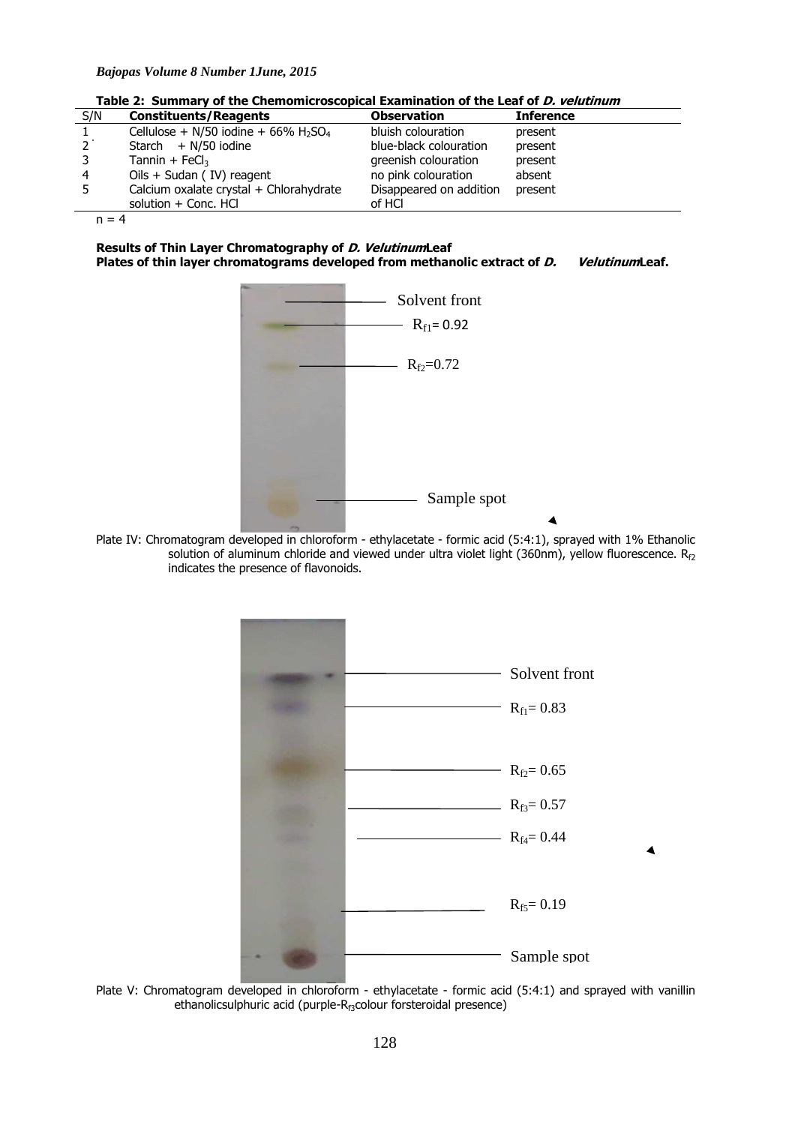| S/N                  | <b>Constituents/Reagents</b>            | <b>Observation</b>      | <b>Inference</b> |
|----------------------|-----------------------------------------|-------------------------|------------------|
|                      | Cellulose + N/50 iodine + 66% $H_2SO_4$ | bluish colouration      | present          |
| $\mathcal{D}$        | Starch $+ N/50$ iodine                  | blue-black colouration  | present          |
|                      | Tannin + FeCl $_3$                      | greenish colouration    | present          |
| 4                    | Oils + Sudan $(IV)$ reagent             | no pink colouration     | absent           |
|                      | Calcium oxalate crystal + Chlorahydrate | Disappeared on addition | present          |
|                      | solution + Conc. HCl                    | of HCl                  |                  |
| $\sim$ $\sim$ $\sim$ |                                         |                         |                  |

**Table 2: Summary of the Chemomicroscopical Examination of the Leaf of D. velutinum**

 $n = 4$ 

**Results of Thin Layer Chromatography of D. VelutinumLeaf Plates of thin layer chromatograms developed from methanolic extract of D. VelutinumLeaf.** 



Plate IV: Chromatogram developed in chloroform - ethylacetate - formic acid (5:4:1), sprayed with 1% Ethanolic solution of aluminum chloride and viewed under ultra violet light (360nm), yellow fluorescence. R<sub>p</sub> indicates the presence of flavonoids.



Plate V: Chromatogram developed in chloroform - ethylacetate - formic acid (5:4:1) and sprayed with vanillin ethanolicsulphuric acid (purple- $R_{f3}$ colour forsteroidal presence)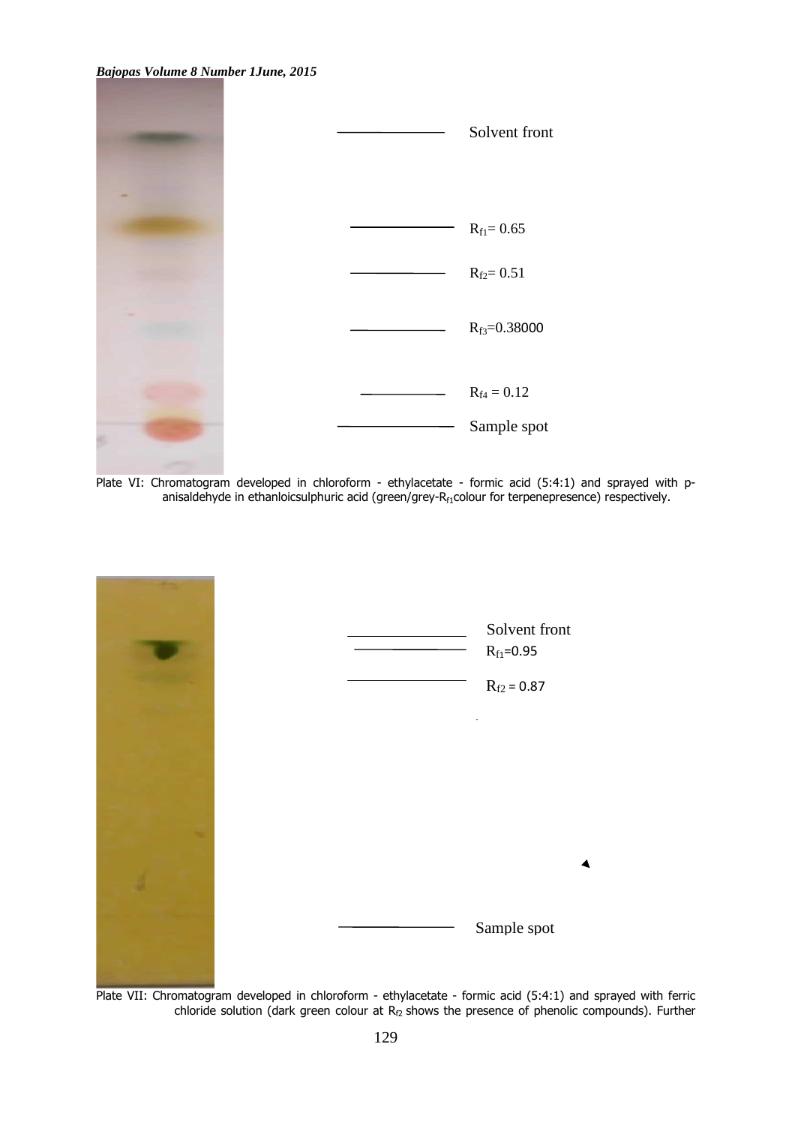|  | Solvent front                  |
|--|--------------------------------|
|  |                                |
|  | $R_{f1} = 0.65$                |
|  | $R_{f2}=0.51$                  |
|  | $R_{f3} = 0.38000$             |
|  | $R_{f4} = 0.12$<br>Sample spot |
|  |                                |

Plate VI: Chromatogram developed in chloroform - ethylacetate - formic acid (5:4:1) and sprayed with panisaldehyde in ethanloicsulphuric acid (green/grey-R<sub>f1</sub>colour for terpenepresence) respectively.



Plate VII: Chromatogram developed in chloroform - ethylacetate - formic acid (5:4:1) and sprayed with ferric chloride solution (dark green colour at R $_{\rm f2}$  shows the presence of phenolic compounds). Further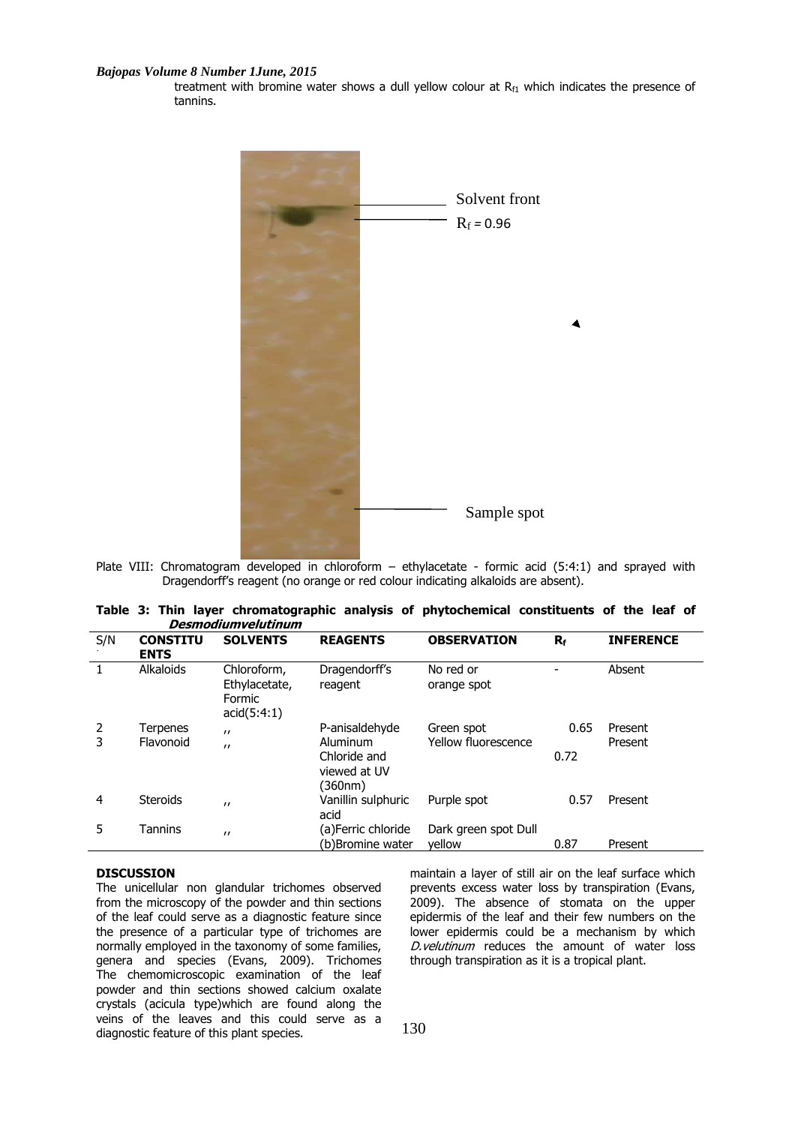treatment with bromine water shows a dull yellow colour at  $R_{f1}$  which indicates the presence of tannins.



Plate VIII: Chromatogram developed in chloroform – ethylacetate - formic acid (5:4:1) and sprayed with Dragendorff's reagent (no orange or red colour indicating alkaloids are absent).

|  |  | Table 3: Thin layer chromatographic analysis of phytochemical constituents of the leaf of |  |  |  |  |
|--|--|-------------------------------------------------------------------------------------------|--|--|--|--|
|  |  | Desmodiumvelutinum                                                                        |  |  |  |  |

| S/N | <b>CONSTITU</b><br><b>ENTS</b> | <b>SOLVENTS</b>                                       | <b>REAGENTS</b>                         | <b>OBSERVATION</b>       | $R_{f}$ | <b>INFERENCE</b> |
|-----|--------------------------------|-------------------------------------------------------|-----------------------------------------|--------------------------|---------|------------------|
|     | Alkaloids                      | Chloroform,<br>Ethylacetate,<br>Formic<br>acid(5:4:1) | Dragendorff's<br>reagent                | No red or<br>orange spot |         | Absent           |
|     | <b>Terpenes</b>                | $\prime$                                              | P-anisaldehyde                          | Green spot               | 0.65    | Present          |
| 3   | Flavonoid                      | $^{\prime}$                                           | Aluminum                                | Yellow fluorescence      |         | Present          |
|     |                                |                                                       | Chloride and<br>viewed at UV<br>(360nm) |                          | 0.72    |                  |
| 4   | <b>Steroids</b>                | $\mathbf{r}$                                          | Vanillin sulphuric                      | Purple spot              | 0.57    | Present          |
|     |                                |                                                       | acid                                    |                          |         |                  |
| 5   | Tannins                        | $\mathbf{r}$                                          | (a)Ferric chloride                      | Dark green spot Dull     |         |                  |
|     |                                |                                                       | (b)Bromine water                        | vellow                   | 0.87    | Present          |

# **DISCUSSION**

The unicellular non glandular trichomes observed from the microscopy of the powder and thin sections of the leaf could serve as a diagnostic feature since the presence of a particular type of trichomes are normally employed in the taxonomy of some families, genera and species (Evans, 2009). Trichomes The chemomicroscopic examination of the leaf powder and thin sections showed calcium oxalate crystals (acicula type)which are found along the veins of the leaves and this could serve as a diagnostic feature of this plant species.

maintain a layer of still air on the leaf surface which prevents excess water loss by transpiration (Evans, 2009). The absence of stomata on the upper epidermis of the leaf and their few numbers on the lower epidermis could be a mechanism by which D.velutinum reduces the amount of water loss through transpiration as it is a tropical plant.

130